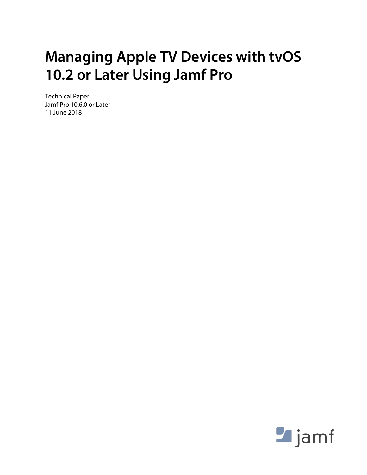# **Managing Apple TV Devices with tvOS 10.2 or Later Using Jamf Pro**

Technical Paper Jamf Pro 10.6.0 or Later 11 June 2018

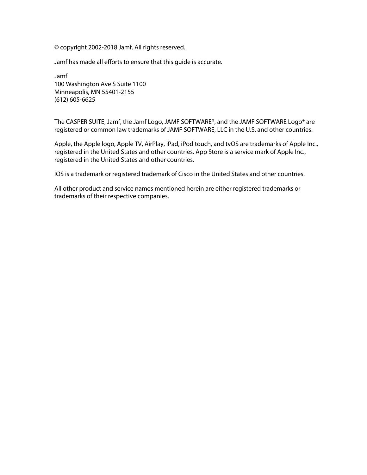© copyright 2002-2018 Jamf. All rights reserved.

Jamf has made all efforts to ensure that this guide is accurate.

Jamf 100 Washington Ave S Suite 1100 Minneapolis, MN 55401-2155 (612) 605-6625

The CASPER SUITE, Jamf, the Jamf Logo, JAMF SOFTWARE®, and the JAMF SOFTWARE Logo® are registered or common law trademarks of JAMF SOFTWARE, LLC in the U.S. and other countries.

Apple, the Apple logo, Apple TV, AirPlay, iPad, iPod touch, and tvOS are trademarks of Apple Inc., registered in the United States and other countries. App Store is a service mark of Apple Inc., registered in the United States and other countries.

IOS is a trademark or registered trademark of Cisco in the United States and other countries.

All other product and service names mentioned herein are either registered trademarks or trademarks of their respective companies.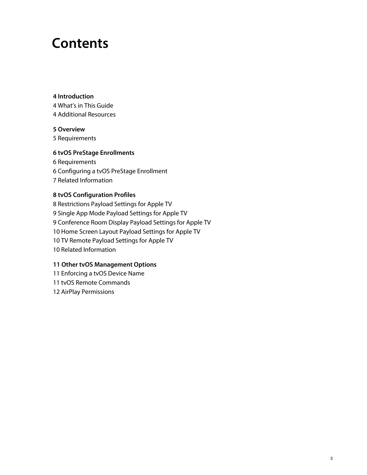## **Contents**

#### **[Introduction](#page-3-0)**

 [What's in This Guide](#page-3-1) [Additional Resources](#page-3-2)

#### **[Overview](#page-4-0)**

[Requirements](#page-4-1)

#### **[tvOS PreStage Enrollments](#page-5-0)**

 [Requirements](#page-5-1) [Configuring a tvOS PreStage Enrollment](#page-5-2) [Related Information](#page-6-0)

#### **[tvOS Configuration Profiles](#page-7-0)**

 [Restrictions Payload Settings for Apple TV](#page-7-1) [Single App Mode Payload Settings for Apple TV](#page-8-0) [Conference Room Display Payload Settings for Apple TV](#page-8-1) [Home Screen Layout Payload Settings for Apple TV](#page-9-0) [TV Remote Payload Settings for Apple TV](#page-9-1) [Related Information](#page-9-2)

#### **[Other tvOS Management Options](#page-10-0)**

[Enforcing a tvOS Device Name](#page-10-1)

[tvOS Remote Commands](#page-10-2)

[AirPlay Permissions](#page-11-0)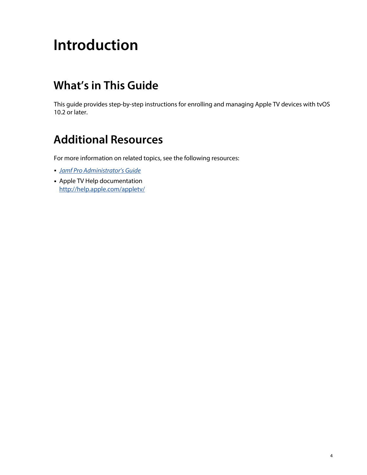# <span id="page-3-0"></span>**Introduction**

## <span id="page-3-1"></span>**What's in This Guide**

This guide provides step-by-step instructions for enrolling and managing Apple TV devices with tvOS 10.2 or later.

### <span id="page-3-2"></span>**Additional Resources**

For more information on related topics, see the following resources:

- *[Jamf Pro Administrator's Guide](http://docs.jamf.com/jamf-pro/administrator-guide/index.html)*
- Apple TV Help documentation <http://help.apple.com/appletv/>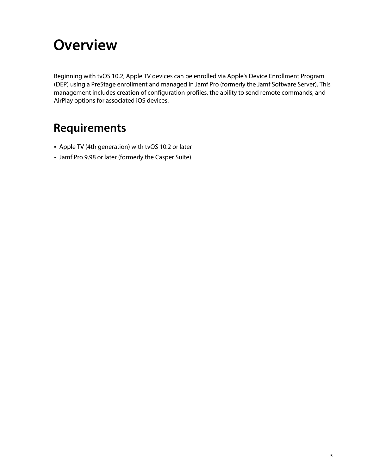## <span id="page-4-0"></span>**Overview**

Beginning with tvOS 10.2, Apple TV devices can be enrolled via Apple's Device Enrollment Program (DEP) using a PreStage enrollment and managed in Jamf Pro (formerly the Jamf Software Server). This management includes creation of configuration profiles, the ability to send remote commands, and AirPlay options for associated iOS devices.

## <span id="page-4-1"></span>**Requirements**

- Apple TV (4th generation) with tvOS 10.2 or later
- Jamf Pro 9.98 or later (formerly the Casper Suite)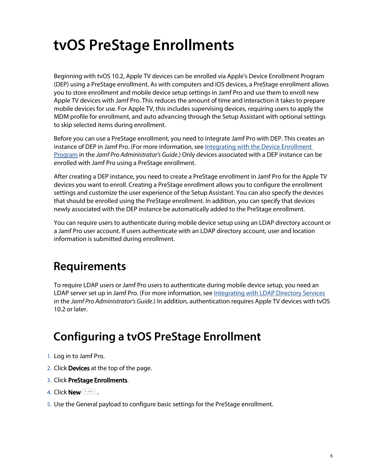# <span id="page-5-0"></span>**tvOS PreStage Enrollments**

Beginning with tvOS 10.2, Apple TV devices can be enrolled via Apple's Device Enrollment Program (DEP) using a PreStage enrollment. As with computers and iOS devices, a PreStage enrollment allows you to store enrollment and mobile device setup settings in Jamf Pro and use them to enroll new Apple TV devices with Jamf Pro. This reduces the amount of time and interaction it takes to prepare mobile devices for use. For Apple TV, this includes supervising devices, requiring users to apply the MDM profile for enrollment, and auto advancing through the Setup Assistant with optional settings to skip selected items during enrollment.

Before you can use a PreStage enrollment, you need to integrate Jamf Pro with DEP. This creates an instance of DEP in Jamf Pro. (For more information, see [Integrating with the Device Enrollment](http://docs.jamf.com/jamf-pro/administrator-guide/Integrating_with_the_Device_Enrollment_Program.html)  [Program](http://docs.jamf.com/jamf-pro/administrator-guide/Integrating_with_the_Device_Enrollment_Program.html) in the *Jamf Pro Administrator's Guide*.) Only devices associated with a DEP instance can be enrolled with Jamf Pro using a PreStage enrollment.

After creating a DEP instance, you need to create a PreStage enrollment in Jamf Pro for the Apple TV devices you want to enroll. Creating a PreStage enrollment allows you to configure the enrollment settings and customize the user experience of the Setup Assistant. You can also specify the devices that should be enrolled using the PreStage enrollment. In addition, you can specify that devices newly associated with the DEP instance be automatically added to the PreStage enrollment.

You can require users to authenticate during mobile device setup using an LDAP directory account or a Jamf Pro user account. If users authenticate with an LDAP directory account, user and location information is submitted during enrollment.

### <span id="page-5-1"></span>**Requirements**

To require LDAP users or Jamf Pro users to authenticate during mobile device setup, you need an LDAP server set up in Jamf Pro. (For more information, see [Integrating with LDAP Directory Services](http://docs.jamf.com/jamf-pro/administrator-guide/Integrating_with_LDAP_Directory_Services.html) in the *Jamf Pro Administrator's Guide*.) In addition, authentication requires Apple TV devices with tvOS 10.2 or later.

## **Configuring a tvOS PreStage Enrollment**

- <span id="page-5-2"></span>1. Log in to Jamf Pro.
- 2. Click Devices at the top of the page.
- 3. Click PreStage Enrollments.
- 4. Click **New**  $\overset{+}{\longleftarrow}$ .
- 5. Use the General payload to configure basic settings for the PreStage enrollment.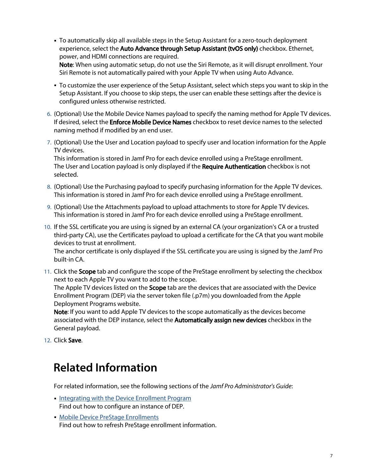- To automatically skip all available steps in the Setup Assistant for a zero-touch deployment experience, select the Auto Advance through Setup Assistant (tvOS only) checkbox. Ethernet, power, and HDMI connections are required. Note: When using automatic setup, do not use the Siri Remote, as it will disrupt enrollment. Your Siri Remote is not automatically paired with your Apple TV when using Auto Advance.
- To customize the user experience of the Setup Assistant, select which steps you want to skip in the Setup Assistant. If you choose to skip steps, the user can enable these settings after the device is configured unless otherwise restricted.
- 6. (Optional) Use the Mobile Device Names payload to specify the naming method for Apple TV devices. If desired, select the **Enforce Mobile Device Names** checkbox to reset device names to the selected naming method if modified by an end user.
- 7. (Optional) Use the User and Location payload to specify user and location information for the Apple TV devices.

This information is stored in Jamf Pro for each device enrolled using a PreStage enrollment. The User and Location payload is only displayed if the Require Authentication checkbox is not selected.

- 8. (Optional) Use the Purchasing payload to specify purchasing information for the Apple TV devices. This information is stored in Jamf Pro for each device enrolled using a PreStage enrollment.
- 9. (Optional) Use the Attachments payload to upload attachments to store for Apple TV devices. This information is stored in Jamf Pro for each device enrolled using a PreStage enrollment.
- 10. If the SSL certificate you are using is signed by an external CA (your organization's CA or a trusted third-party CA), use the Certificates payload to upload a certificate for the CA that you want mobile devices to trust at enrollment.

The anchor certificate is only displayed if the SSL certificate you are using is signed by the Jamf Pro built-in CA.

11. Click the Scope tab and configure the scope of the PreStage enrollment by selecting the checkbox next to each Apple TV you want to add to the scope.

The Apple TV devices listed on the **Scope** tab are the devices that are associated with the Device Enrollment Program (DEP) via the server token file (.p7m) you downloaded from the Apple Deployment Programs website.

Note: If you want to add Apple TV devices to the scope automatically as the devices become associated with the DEP instance, select the **Automatically assign new devices** checkbox in the General payload.

<span id="page-6-0"></span>12. Click Save.

#### **Related Information**

For related information, see the following sections of the *Jamf Pro Administrator's Guide*:

- **[Integrating with the Device Enrollment Program](http://docs.jamf.com/jamf-pro/administrator-guide/Integrating_with_the_Device_Enrollment_Program.html)** Find out how to configure an instance of DEP.
- **[Mobile Device PreStage Enrollments](http://docs.jamf.com/jamf-pro/administrator-guide/Mobile_Device_PreStage_Enrollments.html)** Find out how to refresh PreStage enrollment information.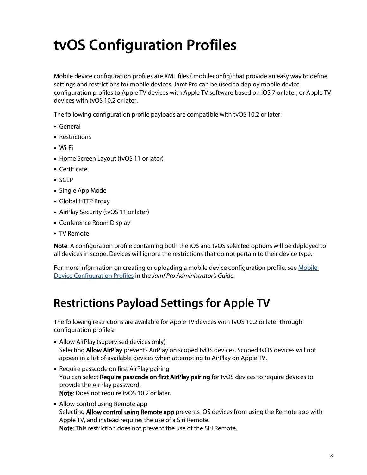# <span id="page-7-0"></span>**tvOS Configuration Profiles**

Mobile device configuration profiles are XML files (.mobileconfig) that provide an easy way to define settings and restrictions for mobile devices. Jamf Pro can be used to deploy mobile device configuration profiles to Apple TV devices with Apple TV software based on iOS 7 or later, or Apple TV devices with tvOS 10.2 or later.

The following configuration profile payloads are compatible with tvOS 10.2 or later:

- General
- Restrictions
- Wi-Fi
- **Home Screen Layout (tvOS 11 or later)**
- Certificate
- SCEP
- Single App Mode
- Global HTTP Proxy
- AirPlay Security (tvOS 11 or later)
- Conference Room Display
- TV Remote

Note: A configuration profile containing both the iOS and tvOS selected options will be deployed to all devices in scope. Devices will ignore the restrictions that do not pertain to their device type.

For more information on creating or uploading a mobile device configuration profile, see [Mobile](http://docs.jamf.com/jamf-pro/administrator-guide/Mobile_Device_Configuration_Profiles.html)  [Device Configuration Profiles](http://docs.jamf.com/jamf-pro/administrator-guide/Mobile_Device_Configuration_Profiles.html) in the *Jamf Pro Administrator's Guide*.

### <span id="page-7-1"></span>**Restrictions Payload Settings for Apple TV**

The following restrictions are available for Apple TV devices with tvOS 10.2 or later through configuration profiles:

- Allow AirPlay (supervised devices only) Selecting Allow AirPlay prevents AirPlay on scoped tvOS devices. Scoped tvOS devices will not appear in a list of available devices when attempting to AirPlay on Apple TV.
- Require passcode on first AirPlay pairing You can select Require passcode on first AirPlay pairing for tvOS devices to require devices to provide the AirPlay password. Note: Does not require tvOS 10.2 or later.
- Allow control using Remote app Selecting Allow control using Remote app prevents iOS devices from using the Remote app with Apple TV, and instead requires the use of a Siri Remote. Note: This restriction does not prevent the use of the Siri Remote.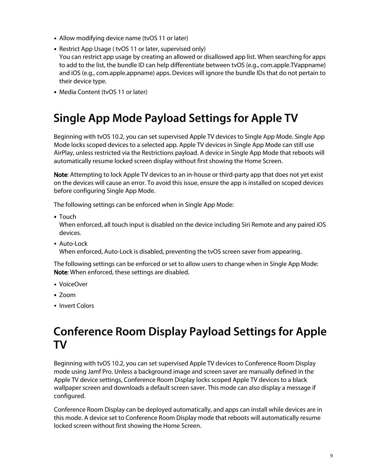- Allow modifying device name (tvOS 11 or later)
- Restrict App Usage ( tvOS 11 or later, supervised only) You can restrict app usage by creating an allowed or disallowed app list. When searching for apps to add to the list, the bundle ID can help differentiate between tvOS (e.g., com.apple.TVappname) and iOS (e.g., com.apple.appname) apps. Devices will ignore the bundle IDs that do not pertain to their device type.
- Media Content (tvOS 11 or later)

## <span id="page-8-0"></span>**Single App Mode Payload Settings for Apple TV**

Beginning with tvOS 10.2, you can set supervised Apple TV devices to Single App Mode. Single App Mode locks scoped devices to a selected app. Apple TV devices in Single App Mode can still use AirPlay, unless restricted via the Restrictions payload. A device in Single App Mode that reboots will automatically resume locked screen display without first showing the Home Screen.

Note: Attempting to lock Apple TV devices to an in-house or third-party app that does not yet exist on the devices will cause an error. To avoid this issue, ensure the app is installed on scoped devices before configuring Single App Mode.

The following settings can be enforced when in Single App Mode:

Touch

When enforced, all touch input is disabled on the device including Siri Remote and any paired iOS devices.

Auto-Lock

When enforced, Auto-Lock is disabled, preventing the tvOS screen saver from appearing.

The following settings can be enforced or set to allow users to change when in Single App Mode: Note: When enforced, these settings are disabled.

- VoiceOver
- Zoom
- **Invert Colors**

#### <span id="page-8-1"></span>**Conference Room Display Payload Settings for Apple TV**

Beginning with tvOS 10.2, you can set supervised Apple TV devices to Conference Room Display mode using Jamf Pro. Unless a background image and screen saver are manually defined in the Apple TV device settings, Conference Room Display locks scoped Apple TV devices to a black wallpaper screen and downloads a default screen saver. This mode can also display a message if configured.

Conference Room Display can be deployed automatically, and apps can install while devices are in this mode. A device set to Conference Room Display mode that reboots will automatically resume locked screen without first showing the Home Screen.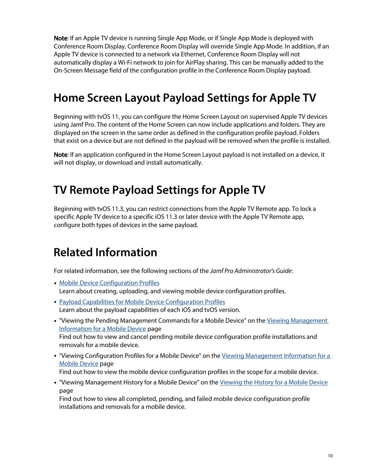Note: If an Apple TV device is running Single App Mode, or if Single App Mode is deployed with Conference Room Display, Conference Room Display will override Single App Mode. In addition, if an Apple TV device is connected to a network via Ethernet, Conference Room Display will not automatically display a Wi-Fi network to join for AirPlay sharing. This can be manually added to the On-Screen Message field of the configuration profile in the Conference Room Display payload.

## <span id="page-9-0"></span>**Home Screen Layout Payload Settings for Apple TV**

Beginning with tvOS 11, you can configure the Home Screen Layout on supervised Apple TV devices using Jamf Pro. The content of the Home Screen can now include applications and folders. They are displayed on the screen in the same order as defined in the configuration profile payload. Folders that exist on a device but are not defined in the payload will be removed when the profile is installed.

Note: If an application configured in the Home Screen Layout payload is not installed on a device, it will not display, or download and install automatically.

#### <span id="page-9-1"></span>**TV Remote Payload Settings for Apple TV**

Beginning with tvOS 11.3, you can restrict connections from the Apple TV Remote app. To lock a specific Apple TV device to a specific iOS 11.3 or later device with the Apple TV Remote app, configure both types of devices in the same payload.

#### <span id="page-9-2"></span>**Related Information**

For related information, see the following sections of the *Jamf Pro Administrator's Guide*:

- **[Mobile Device Configuration Profiles](http://docs.jamf.com/jamf-pro/administrator-guide/Mobile_Device_Configuration_Profiles.html)** Learn about creating, uploading, and viewing mobile device configuration profiles.
- [Payload Capabilities for Mobile Device Configuration Profiles](http://docs.jamf.com/jamf-pro/administrator-guide/Payload_Capabilities_for_Mobile_Device_Configuration_Profiles.html) Learn about the payload capabilities of each iOS and tvOS version.
- " "Viewing the Pending Management Commands for a Mobile Device" on the Viewing Management [Information for a Mobile Device](http://docs.jamf.com/jamf-pro/administrator-guide/Viewing_Management_Information_for_a_Mobile_Device.html) page Find out how to view and cancel pending mobile device configuration profile installations and removals for a mobile device.
- "Viewing Configuration Profiles for a Mobile Device" on the Viewing Management Information for a [Mobile Device](http://docs.jamf.com/jamf-pro/administrator-guide/Viewing_Management_Information_for_a_Mobile_Device.html) page

Find out how to view the mobile device configuration profiles in the scope for a mobile device.

" "Viewing Management History for a Mobile Device" on the [Viewing the History for a Mobile Device](http://docs.jamf.com/jamf-pro/administrator-guide/Viewing_the_History_for_a_Mobile_Device.html) page

Find out how to view all completed, pending, and failed mobile device configuration profile installations and removals for a mobile device.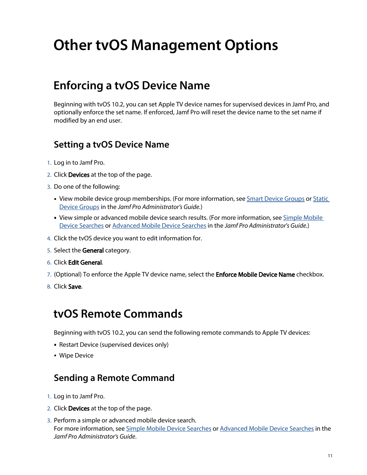# <span id="page-10-0"></span>**Other tvOS Management Options**

#### <span id="page-10-1"></span>**Enforcing a tvOS Device Name**

Beginning with tvOS 10.2, you can set Apple TV device names for supervised devices in Jamf Pro, and optionally enforce the set name. If enforced, Jamf Pro will reset the device name to the set name if modified by an end user.

#### **Setting a tvOS Device Name**

- 1. Log in to Jamf Pro.
- 2. Click Devices at the top of the page.
- 3. Do one of the following:
	- View mobile device group memberships. (For more information, see [Smart Device Groups](http://docs.jamf.com/jamf-pro/administrator-guide/Smart_Device_Groups.html) or [Static](http://docs.jamf.com/jamf-pro/administrator-guide/Static_Device_Groups.html)  [Device Groups](http://docs.jamf.com/jamf-pro/administrator-guide/Static_Device_Groups.html) in the *Jamf Pro Administrator's Guide.*)
	- View simple or advanced mobile device search results. (For more information, see Simple Mobile [Device Searches](http://docs.jamf.com/jamf-pro/administrator-guide/Simple_Mobile_Device_Searches.html) or [Advanced Mobile Device Searches](http://docs.jamf.com/jamf-pro/administrator-guide/Advanced_Mobile_Device_Searches.html) in the *Jamf Pro Administrator's Guide.*)
- 4. Click the tvOS device you want to edit information for.
- 5. Select the General category.
- 6. Click Edit General.
- 7. (Optional) To enforce the Apple TV device name, select the **Enforce Mobile Device Name** checkbox.
- 8. Click Save.

#### <span id="page-10-2"></span>**tvOS Remote Commands**

Beginning with tvOS 10.2, you can send the following remote commands to Apple TV devices:

- Restart Device (supervised devices only)
- **Wipe Device**

#### **Sending a Remote Command**

- 1. Log in to Jamf Pro.
- 2. Click **Devices** at the top of the page.
- 3. Perform a simple or advanced mobile device search. For more information, see [Simple Mobile Device Searches](http://docs.jamf.com/jamf-pro/administrator-guide/Simple_Mobile_Device_Searches.html) or [Advanced Mobile Device Searches](http://docs.jamf.com/jamf-pro/administrator-guide/Advanced_Mobile_Device_Searches.html) in the *Jamf Pro Administrator's Guide*.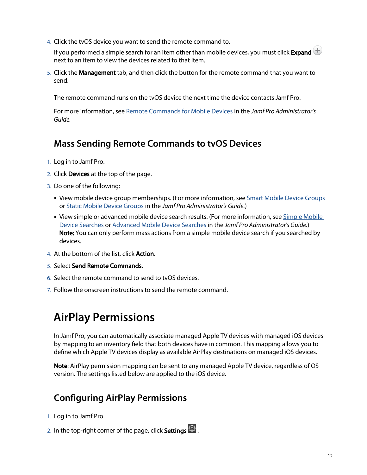4. Click the tvOS device you want to send the remote command to.

If you performed a simple search for an item other than mobile devices, you must click Expand  $\bigoplus$ next to an item to view the devices related to that item.

5. Click the Management tab, and then click the button for the remote command that you want to send.

The remote command runs on the tvOS device the next time the device contacts Jamf Pro.

For more information, see [Remote Commands for Mobile Devices](http://docs.jamf.com/jamf-pro/administrator-guide/Remote_Commands_for_Mobile_Devices.html) in the *Jamf Pro Administrator's Guide.*

#### **Mass Sending Remote Commands to tvOS Devices**

- 1. Log in to Jamf Pro.
- 2. Click Devices at the top of the page.
- 3. Do one of the following:
	- View mobile device group memberships. (For more information, see **[Smart Mobile Device Groups](http://docs.jamf.com/jamf-pro/administrator-guide/Smart_Mobile_Device_Groups.html)** or [Static Mobile Device Groups](http://docs.jamf.com/jamf-pro/administrator-guide/Static_Mobile_Device_Groups.html) in the *Jamf Pro Administrator's Guide.*)
	- View simple or advanced mobile device search results. (For more information, see Simple Mobile [Device Searches](http://docs.jamf.com/jamf-pro/administrator-guide/Simple_Mobile_Device_Searches.html) or [Advanced Mobile Device Searches](http://docs.jamf.com/jamf-pro/administrator-guide/Advanced_Mobile_Device_Searches.html) in the *Jamf Pro Administrator's Guide.*) Note: You can only perform mass actions from a simple mobile device search if you searched by devices.
- 4. At the bottom of the list, click **Action**.
- 5. Select Send Remote Commands.
- 6. Select the remote command to send to tvOS devices.
- <span id="page-11-0"></span>7. Follow the onscreen instructions to send the remote command.

### **AirPlay Permissions**

In Jamf Pro, you can automatically associate managed Apple TV devices with managed iOS devices by mapping to an inventory field that both devices have in common. This mapping allows you to define which Apple TV devices display as available AirPlay destinations on managed iOS devices.

Note: AirPlay permission mapping can be sent to any managed Apple TV device, regardless of OS version. The settings listed below are applied to the iOS device.

#### **Configuring AirPlay Permissions**

- 1. Log in to Jamf Pro.
- 2. In the top-right corner of the page, click **Settings ...**.